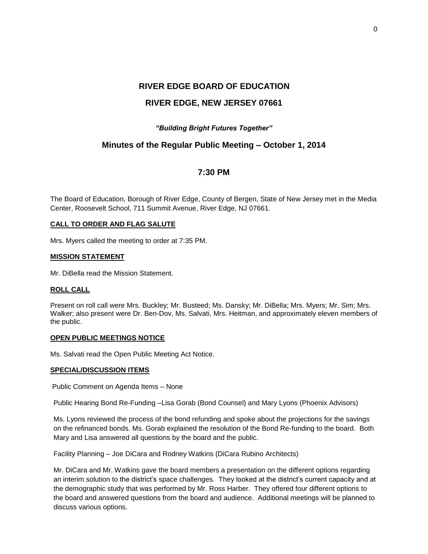# **RIVER EDGE BOARD OF EDUCATION RIVER EDGE, NEW JERSEY 07661**

# *"Building Bright Futures Together"*

# **Minutes of the Regular Public Meeting – October 1, 2014**

# **7:30 PM**

The Board of Education, Borough of River Edge, County of Bergen, State of New Jersey met in the Media Center, Roosevelt School, 711 Summit Avenue, River Edge, NJ 07661.

#### **CALL TO ORDER AND FLAG SALUTE**

Mrs. Myers called the meeting to order at 7:35 PM.

#### **MISSION STATEMENT**

Mr. DiBella read the Mission Statement.

#### **ROLL CALL**

Present on roll call were Mrs. Buckley; Mr. Busteed; Ms. Dansky; Mr. DiBella; Mrs. Myers; Mr. Sim; Mrs. Walker; also present were Dr. Ben-Dov, Ms. Salvati, Mrs. Heitman, and approximately eleven members of the public.

# **OPEN PUBLIC MEETINGS NOTICE**

Ms. Salvati read the Open Public Meeting Act Notice.

#### **SPECIAL/DISCUSSION ITEMS**

Public Comment on Agenda Items – None

Public Hearing Bond Re-Funding –Lisa Gorab (Bond Counsel) and Mary Lyons (Phoenix Advisors)

Ms. Lyons reviewed the process of the bond refunding and spoke about the projections for the savings on the refinanced bonds. Ms. Gorab explained the resolution of the Bond Re-funding to the board. Both Mary and Lisa answered all questions by the board and the public.

Facility Planning – Joe DiCara and Rodney Watkins (DiCara Rubino Architects)

Mr. DiCara and Mr. Watkins gave the board members a presentation on the different options regarding an interim solution to the district's space challenges. They looked at the district's current capacity and at the demographic study that was performed by Mr. Ross Harber. They offered four different options to the board and answered questions from the board and audience. Additional meetings will be planned to discuss various options.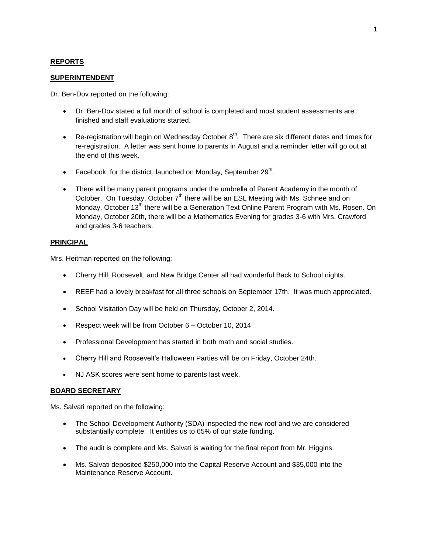# **REPORTS**

## **SUPERINTENDENT**

Dr. Ben-Dov reported on the following:

- Dr. Ben-Dov stated a full month of school is completed and most student assessments are finished and staff evaluations started.
- Re-registration will begin on Wednesday October  $8^{th}$ . There are six different dates and times for re-registration. A letter was sent home to parents in August and a reminder letter will go out at the end of this week.
- Facebook, for the district, launched on Monday, September 29<sup>th</sup>.
- There will be many parent programs under the umbrella of Parent Academy in the month of October. On Tuesday, October  $7<sup>th</sup>$  there will be an ESL Meeting with Ms. Schnee and on Monday, October 13<sup>th</sup> there will be a Generation Text Online Parent Program with Ms. Rosen. On Monday, October 20th, there will be a Mathematics Evening for grades 3-6 with Mrs. Crawford and grades 3-6 teachers.

# **PRINCIPAL**

Mrs. Heitman reported on the following:

- Cherry Hill, Roosevelt, and New Bridge Center all had wonderful Back to School nights.
- REEF had a lovely breakfast for all three schools on September 17th. It was much appreciated.
- School Visitation Day will be held on Thursday, October 2, 2014.
- Respect week will be from October 6 October 10, 2014
- Professional Development has started in both math and social studies.
- Cherry Hill and Roosevelt's Halloween Parties will be on Friday, October 24th.
- NJ ASK scores were sent home to parents last week.

#### **BOARD SECRETARY**

Ms. Salvati reported on the following:

- The School Development Authority (SDA) inspected the new roof and we are considered substantially complete. It entitles us to 65% of our state funding.
- The audit is complete and Ms. Salvati is waiting for the final report from Mr. Higgins.
- Ms. Salvati deposited \$250,000 into the Capital Reserve Account and \$35,000 into the Maintenance Reserve Account.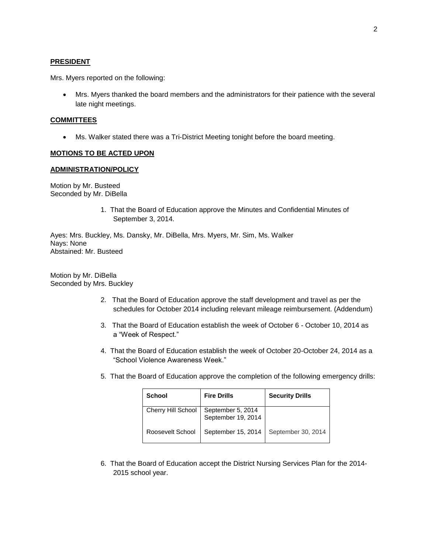## **PRESIDENT**

Mrs. Myers reported on the following:

 Mrs. Myers thanked the board members and the administrators for their patience with the several late night meetings.

#### **COMMITTEES**

Ms. Walker stated there was a Tri-District Meeting tonight before the board meeting.

## **MOTIONS TO BE ACTED UPON**

#### **ADMINISTRATION/POLICY**

Motion by Mr. Busteed Seconded by Mr. DiBella

> 1. That the Board of Education approve the Minutes and Confidential Minutes of September 3, 2014.

Ayes: Mrs. Buckley, Ms. Dansky, Mr. DiBella, Mrs. Myers, Mr. Sim, Ms. Walker Nays: None Abstained: Mr. Busteed

Motion by Mr. DiBella Seconded by Mrs. Buckley

- 2. That the Board of Education approve the staff development and travel as per the schedules for October 2014 including relevant mileage reimbursement. (Addendum)
- 3. That the Board of Education establish the week of October 6 October 10, 2014 as a "Week of Respect."
- 4. That the Board of Education establish the week of October 20-October 24, 2014 as a "School Violence Awareness Week."
- 5. That the Board of Education approve the completion of the following emergency drills:

| <b>School</b>      | <b>Fire Drills</b>                      | <b>Security Drills</b> |
|--------------------|-----------------------------------------|------------------------|
| Cherry Hill School | September 5, 2014<br>September 19, 2014 |                        |
| Roosevelt School   | September 15, 2014                      | September 30, 2014     |

6. That the Board of Education accept the District Nursing Services Plan for the 2014- 2015 school year.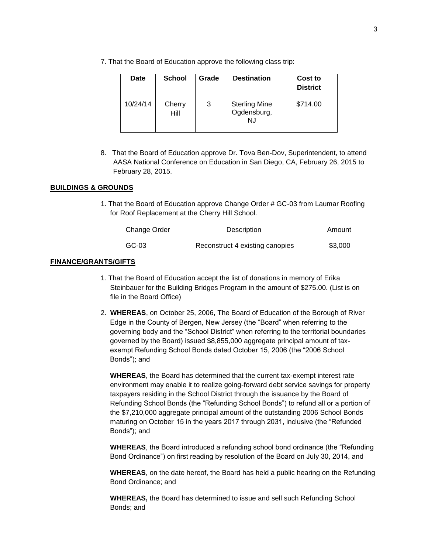7. That the Board of Education approve the following class trip:

| <b>Date</b> | <b>School</b>  | Grade | <b>Destination</b>                        | Cost to<br><b>District</b> |
|-------------|----------------|-------|-------------------------------------------|----------------------------|
| 10/24/14    | Cherry<br>Hill | 3     | <b>Sterling Mine</b><br>Ogdensburg,<br>NJ | \$714.00                   |

8. That the Board of Education approve Dr. Tova Ben-Dov, Superintendent, to attend AASA National Conference on Education in San Diego, CA, February 26, 2015 to February 28, 2015.

#### **BUILDINGS & GROUNDS**

1. That the Board of Education approve Change Order # GC-03 from Laumar Roofing for Roof Replacement at the Cherry Hill School.

| Change Order | Description                     | Amount  |
|--------------|---------------------------------|---------|
| GC-03        | Reconstruct 4 existing canopies | \$3,000 |

#### **FINANCE/GRANTS/GIFTS**

- 1. That the Board of Education accept the list of donations in memory of Erika Steinbauer for the Building Bridges Program in the amount of \$275.00. (List is on file in the Board Office)
- 2. **WHEREAS**, on October 25, 2006, The Board of Education of the Borough of River Edge in the County of Bergen, New Jersey (the "Board" when referring to the governing body and the "School District" when referring to the territorial boundaries governed by the Board) issued \$8,855,000 aggregate principal amount of taxexempt Refunding School Bonds dated October 15, 2006 (the "2006 School Bonds"); and

**WHEREAS**, the Board has determined that the current tax-exempt interest rate environment may enable it to realize going-forward debt service savings for property taxpayers residing in the School District through the issuance by the Board of Refunding School Bonds (the "Refunding School Bonds") to refund all or a portion of the \$7,210,000 aggregate principal amount of the outstanding 2006 School Bonds maturing on October 15 in the years 2017 through 2031, inclusive (the "Refunded Bonds"); and

**WHEREAS**, the Board introduced a refunding school bond ordinance (the "Refunding Bond Ordinance") on first reading by resolution of the Board on July 30, 2014, and

**WHEREAS**, on the date hereof, the Board has held a public hearing on the Refunding Bond Ordinance; and

**WHEREAS,** the Board has determined to issue and sell such Refunding School Bonds; and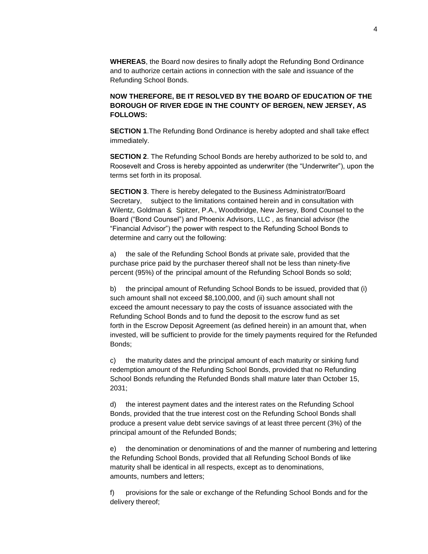**WHEREAS**, the Board now desires to finally adopt the Refunding Bond Ordinance and to authorize certain actions in connection with the sale and issuance of the Refunding School Bonds.

# **NOW THEREFORE, BE IT RESOLVED BY THE BOARD OF EDUCATION OF THE BOROUGH OF RIVER EDGE IN THE COUNTY OF BERGEN, NEW JERSEY, AS FOLLOWS:**

**SECTION 1**.The Refunding Bond Ordinance is hereby adopted and shall take effect immediately.

**SECTION 2.** The Refunding School Bonds are hereby authorized to be sold to, and Roosevelt and Cross is hereby appointed as underwriter (the "Underwriter"), upon the terms set forth in its proposal.

**SECTION 3**. There is hereby delegated to the Business Administrator/Board Secretary, subject to the limitations contained herein and in consultation with Wilentz, Goldman & Spitzer, P.A., Woodbridge, New Jersey, Bond Counsel to the Board ("Bond Counsel") and Phoenix Advisors, LLC , as financial advisor (the "Financial Advisor") the power with respect to the Refunding School Bonds to determine and carry out the following:

a) the sale of the Refunding School Bonds at private sale, provided that the purchase price paid by the purchaser thereof shall not be less than ninety-five percent (95%) of the principal amount of the Refunding School Bonds so sold;

b) the principal amount of Refunding School Bonds to be issued, provided that (i) such amount shall not exceed \$8,100,000, and (ii) such amount shall not exceed the amount necessary to pay the costs of issuance associated with the Refunding School Bonds and to fund the deposit to the escrow fund as set forth in the Escrow Deposit Agreement (as defined herein) in an amount that, when invested, will be sufficient to provide for the timely payments required for the Refunded Bonds;

c) the maturity dates and the principal amount of each maturity or sinking fund redemption amount of the Refunding School Bonds, provided that no Refunding School Bonds refunding the Refunded Bonds shall mature later than October 15, 2031;

d) the interest payment dates and the interest rates on the Refunding School Bonds, provided that the true interest cost on the Refunding School Bonds shall produce a present value debt service savings of at least three percent (3%) of the principal amount of the Refunded Bonds;

e) the denomination or denominations of and the manner of numbering and lettering the Refunding School Bonds, provided that all Refunding School Bonds of like maturity shall be identical in all respects, except as to denominations, amounts, numbers and letters;

f) provisions for the sale or exchange of the Refunding School Bonds and for the delivery thereof;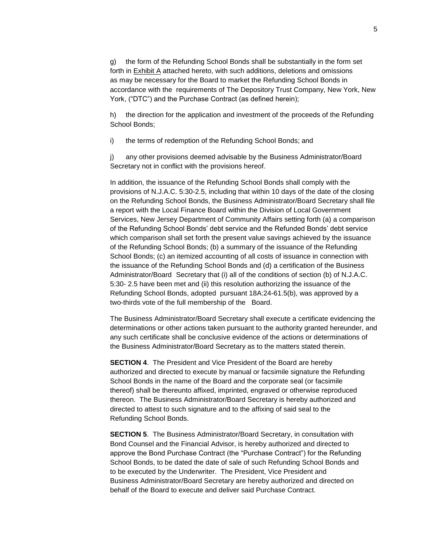g) the form of the Refunding School Bonds shall be substantially in the form set forth in Exhibit A attached hereto, with such additions, deletions and omissions as may be necessary for the Board to market the Refunding School Bonds in accordance with the requirements of The Depository Trust Company, New York, New York, ("DTC") and the Purchase Contract (as defined herein);

h) the direction for the application and investment of the proceeds of the Refunding School Bonds;

i) the terms of redemption of the Refunding School Bonds; and

j) any other provisions deemed advisable by the Business Administrator/Board Secretary not in conflict with the provisions hereof.

In addition, the issuance of the Refunding School Bonds shall comply with the provisions of N.J.A.C. 5:30-2.5, including that within 10 days of the date of the closing on the Refunding School Bonds, the Business Administrator/Board Secretary shall file a report with the Local Finance Board within the Division of Local Government Services, New Jersey Department of Community Affairs setting forth (a) a comparison of the Refunding School Bonds' debt service and the Refunded Bonds' debt service which comparison shall set forth the present value savings achieved by the issuance of the Refunding School Bonds; (b) a summary of the issuance of the Refunding School Bonds; (c) an itemized accounting of all costs of issuance in connection with the issuance of the Refunding School Bonds and (d) a certification of the Business Administrator/Board Secretary that (i) all of the conditions of section (b) of N.J.A.C. 5:30- 2.5 have been met and (ii) this resolution authorizing the issuance of the Refunding School Bonds, adopted pursuant 18A:24-61.5(b), was approved by a two-thirds vote of the full membership of the Board.

The Business Administrator/Board Secretary shall execute a certificate evidencing the determinations or other actions taken pursuant to the authority granted hereunder, and any such certificate shall be conclusive evidence of the actions or determinations of the Business Administrator/Board Secretary as to the matters stated therein.

**SECTION 4.** The President and Vice President of the Board are hereby authorized and directed to execute by manual or facsimile signature the Refunding School Bonds in the name of the Board and the corporate seal (or facsimile thereof) shall be thereunto affixed, imprinted, engraved or otherwise reproduced thereon. The Business Administrator/Board Secretary is hereby authorized and directed to attest to such signature and to the affixing of said seal to the Refunding School Bonds.

**SECTION 5**. The Business Administrator/Board Secretary, in consultation with Bond Counsel and the Financial Advisor, is hereby authorized and directed to approve the Bond Purchase Contract (the "Purchase Contract") for the Refunding School Bonds, to be dated the date of sale of such Refunding School Bonds and to be executed by the Underwriter. The President, Vice President and Business Administrator/Board Secretary are hereby authorized and directed on behalf of the Board to execute and deliver said Purchase Contract.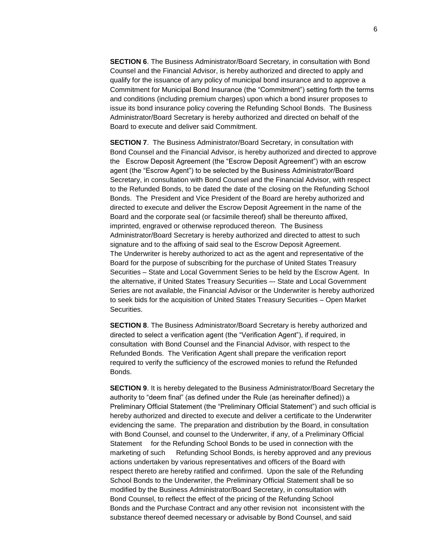**SECTION 6**. The Business Administrator/Board Secretary, in consultation with Bond Counsel and the Financial Advisor, is hereby authorized and directed to apply and qualify for the issuance of any policy of municipal bond insurance and to approve a Commitment for Municipal Bond Insurance (the "Commitment") setting forth the terms and conditions (including premium charges) upon which a bond insurer proposes to issue its bond insurance policy covering the Refunding School Bonds. The Business Administrator/Board Secretary is hereby authorized and directed on behalf of the Board to execute and deliver said Commitment.

**SECTION 7**. The Business Administrator/Board Secretary, in consultation with Bond Counsel and the Financial Advisor, is hereby authorized and directed to approve the Escrow Deposit Agreement (the "Escrow Deposit Agreement") with an escrow agent (the "Escrow Agent") to be selected by the Business Administrator/Board Secretary, in consultation with Bond Counsel and the Financial Advisor, with respect to the Refunded Bonds, to be dated the date of the closing on the Refunding School Bonds. The President and Vice President of the Board are hereby authorized and directed to execute and deliver the Escrow Deposit Agreement in the name of the Board and the corporate seal (or facsimile thereof) shall be thereunto affixed, imprinted, engraved or otherwise reproduced thereon. The Business Administrator/Board Secretary is hereby authorized and directed to attest to such signature and to the affixing of said seal to the Escrow Deposit Agreement. The Underwriter is hereby authorized to act as the agent and representative of the Board for the purpose of subscribing for the purchase of United States Treasury Securities – State and Local Government Series to be held by the Escrow Agent. In the alternative, if United States Treasury Securities –- State and Local Government Series are not available, the Financial Advisor or the Underwriter is hereby authorized to seek bids for the acquisition of United States Treasury Securities – Open Market Securities.

**SECTION 8**. The Business Administrator/Board Secretary is hereby authorized and directed to select a verification agent (the "Verification Agent"), if required, in consultation with Bond Counsel and the Financial Advisor, with respect to the Refunded Bonds. The Verification Agent shall prepare the verification report required to verify the sufficiency of the escrowed monies to refund the Refunded **Bonds** 

**SECTION 9**. It is hereby delegated to the Business Administrator/Board Secretary the authority to "deem final" (as defined under the Rule (as hereinafter defined)) a Preliminary Official Statement (the "Preliminary Official Statement") and such official is hereby authorized and directed to execute and deliver a certificate to the Underwriter evidencing the same. The preparation and distribution by the Board, in consultation with Bond Counsel, and counsel to the Underwriter, if any, of a Preliminary Official Statement for the Refunding School Bonds to be used in connection with the marketing of such Refunding School Bonds, is hereby approved and any previous actions undertaken by various representatives and officers of the Board with respect thereto are hereby ratified and confirmed. Upon the sale of the Refunding School Bonds to the Underwriter, the Preliminary Official Statement shall be so modified by the Business Administrator/Board Secretary, in consultation with Bond Counsel, to reflect the effect of the pricing of the Refunding School Bonds and the Purchase Contract and any other revision not inconsistent with the substance thereof deemed necessary or advisable by Bond Counsel, and said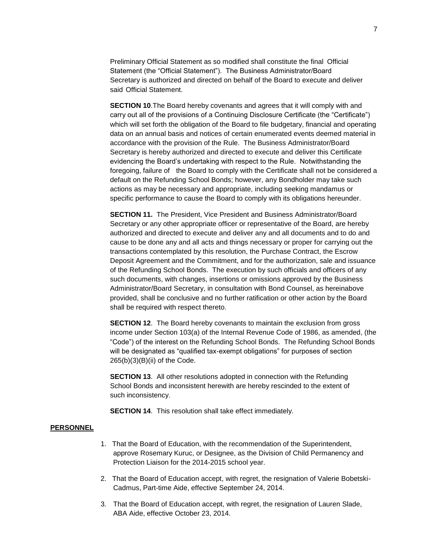Preliminary Official Statement as so modified shall constitute the final Official Statement (the "Official Statement"). The Business Administrator/Board Secretary is authorized and directed on behalf of the Board to execute and deliver said Official Statement.

**SECTION 10**.The Board hereby covenants and agrees that it will comply with and carry out all of the provisions of a Continuing Disclosure Certificate (the "Certificate") which will set forth the obligation of the Board to file budgetary, financial and operating data on an annual basis and notices of certain enumerated events deemed material in accordance with the provision of the Rule. The Business Administrator/Board Secretary is hereby authorized and directed to execute and deliver this Certificate evidencing the Board's undertaking with respect to the Rule. Notwithstanding the foregoing, failure of the Board to comply with the Certificate shall not be considered a default on the Refunding School Bonds; however, any Bondholder may take such actions as may be necessary and appropriate, including seeking mandamus or specific performance to cause the Board to comply with its obligations hereunder.

**SECTION 11.** The President, Vice President and Business Administrator/Board Secretary or any other appropriate officer or representative of the Board, are hereby authorized and directed to execute and deliver any and all documents and to do and cause to be done any and all acts and things necessary or proper for carrying out the transactions contemplated by this resolution, the Purchase Contract, the Escrow Deposit Agreement and the Commitment, and for the authorization, sale and issuance of the Refunding School Bonds. The execution by such officials and officers of any such documents, with changes, insertions or omissions approved by the Business Administrator/Board Secretary, in consultation with Bond Counsel, as hereinabove provided, shall be conclusive and no further ratification or other action by the Board shall be required with respect thereto.

**SECTION 12**. The Board hereby covenants to maintain the exclusion from gross income under Section 103(a) of the Internal Revenue Code of 1986, as amended, (the "Code") of the interest on the Refunding School Bonds. The Refunding School Bonds will be designated as "qualified tax-exempt obligations" for purposes of section 265(b)(3)(B)(ii) of the Code.

**SECTION 13.** All other resolutions adopted in connection with the Refunding School Bonds and inconsistent herewith are hereby rescinded to the extent of such inconsistency.

**SECTION 14.** This resolution shall take effect immediately.

#### **PERSONNEL**

- 1. That the Board of Education, with the recommendation of the Superintendent, approve Rosemary Kuruc, or Designee, as the Division of Child Permanency and Protection Liaison for the 2014-2015 school year.
- 2. That the Board of Education accept, with regret, the resignation of Valerie Bobetski-Cadmus, Part-time Aide, effective September 24, 2014.
- 3. That the Board of Education accept, with regret, the resignation of Lauren Slade, ABA Aide, effective October 23, 2014.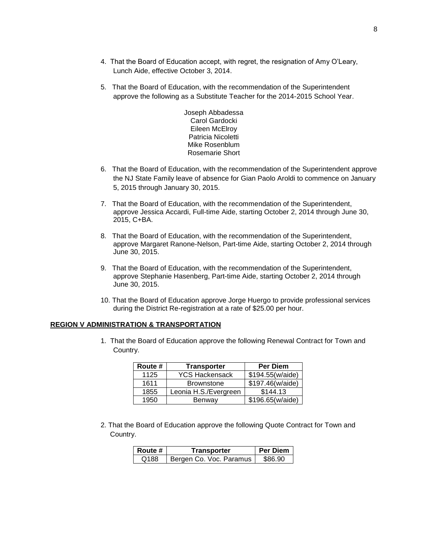- 4. That the Board of Education accept, with regret, the resignation of Amy O'Leary, Lunch Aide, effective October 3, 2014.
- 5. That the Board of Education, with the recommendation of the Superintendent approve the following as a Substitute Teacher for the 2014-2015 School Year.
	- Joseph Abbadessa Carol Gardocki Eileen McElroy Patricia Nicoletti Mike Rosenblum Rosemarie Short
- 6. That the Board of Education, with the recommendation of the Superintendent approve the NJ State Family leave of absence for Gian Paolo Aroldi to commence on January 5, 2015 through January 30, 2015.
- 7. That the Board of Education, with the recommendation of the Superintendent, approve Jessica Accardi, Full-time Aide, starting October 2, 2014 through June 30, 2015, C+BA.
- 8. That the Board of Education, with the recommendation of the Superintendent, approve Margaret Ranone-Nelson, Part-time Aide, starting October 2, 2014 through June 30, 2015.
- 9. That the Board of Education, with the recommendation of the Superintendent, approve Stephanie Hasenberg, Part-time Aide, starting October 2, 2014 through June 30, 2015.
- 10. That the Board of Education approve Jorge Huergo to provide professional services during the District Re-registration at a rate of \$25.00 per hour.

#### **REGION V ADMINISTRATION & TRANSPORTATION**

1. That the Board of Education approve the following Renewal Contract for Town and Country.

| Route # | <b>Transporter</b>    | <b>Per Diem</b>  |
|---------|-----------------------|------------------|
| 1125    | YCS Hackensack        | \$194.55(w/aide) |
| 1611    | <b>Brownstone</b>     | \$197.46(w/aide) |
| 1855    | Leonia H.S./Evergreen | \$144.13         |
| 1950    | Benway                | \$196.65(w/aide) |

2. That the Board of Education approve the following Quote Contract for Town and Country.

| l Route # | Transporter             | <b>Per Diem</b> |
|-----------|-------------------------|-----------------|
| Q188      | Bergen Co. Voc. Paramus | \$86.90         |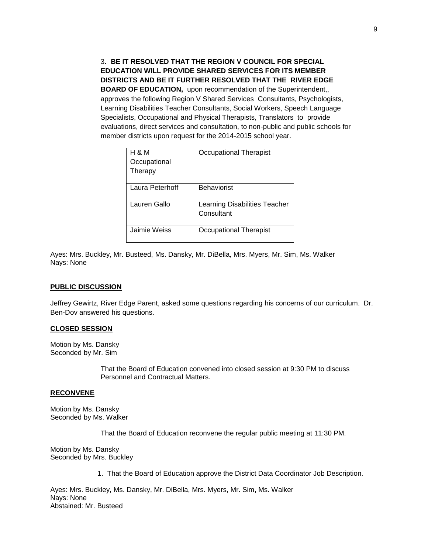3**. BE IT RESOLVED THAT THE REGION V COUNCIL FOR SPECIAL EDUCATION WILL PROVIDE SHARED SERVICES FOR ITS MEMBER DISTRICTS AND BE IT FURTHER RESOLVED THAT THE RIVER EDGE BOARD OF EDUCATION,** upon recommendation of the Superintendent,, approves the following Region V Shared Services Consultants, Psychologists, Learning Disabilities Teacher Consultants, Social Workers, Speech Language Specialists, Occupational and Physical Therapists, Translators to provide evaluations, direct services and consultation, to non-public and public schools for member districts upon request for the 2014-2015 school year.

| <b>H &amp; M</b> | Occupational Therapist        |
|------------------|-------------------------------|
| Occupational     |                               |
| Therapy          |                               |
| Laura Peterhoff  | <b>Behaviorist</b>            |
| Lauren Gallo     | Learning Disabilities Teacher |
|                  | Consultant                    |
| Jaimie Weiss     | Occupational Therapist        |

Ayes: Mrs. Buckley, Mr. Busteed, Ms. Dansky, Mr. DiBella, Mrs. Myers, Mr. Sim, Ms. Walker Nays: None

#### **PUBLIC DISCUSSION**

Jeffrey Gewirtz, River Edge Parent, asked some questions regarding his concerns of our curriculum. Dr. Ben-Dov answered his questions.

#### **CLOSED SESSION**

Motion by Ms. Dansky Seconded by Mr. Sim

> That the Board of Education convened into closed session at 9:30 PM to discuss Personnel and Contractual Matters.

# **RECONVENE**

Motion by Ms. Dansky Seconded by Ms. Walker

That the Board of Education reconvene the regular public meeting at 11:30 PM.

Motion by Ms. Dansky Seconded by Mrs. Buckley

1. That the Board of Education approve the District Data Coordinator Job Description.

Ayes: Mrs. Buckley, Ms. Dansky, Mr. DiBella, Mrs. Myers, Mr. Sim, Ms. Walker Nays: None Abstained: Mr. Busteed